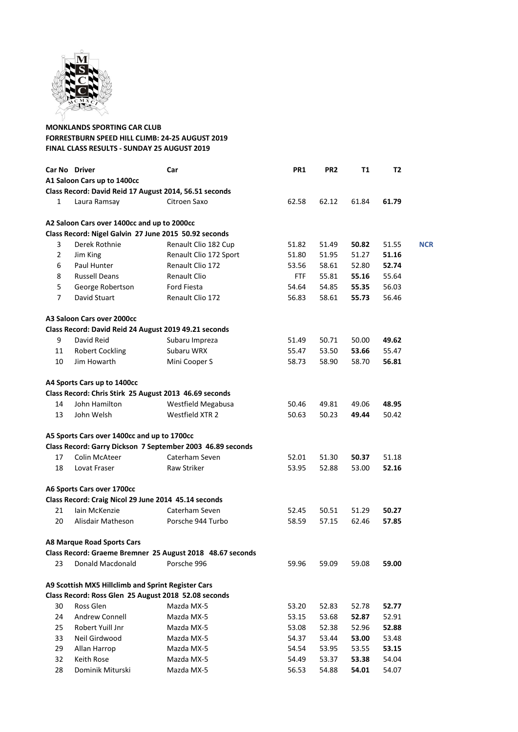

## **MONKLANDS SPORTING CAR CLUB FORRESTBURN SPEED HILL CLIMB: 24-25 AUGUST 2019 FINAL CLASS RESULTS - SUNDAY 25 AUGUST 2019**

|                | Car No Driver                                          | Car                                                        | PR1   | PR <sub>2</sub> | <b>T1</b> | <b>T2</b> |            |
|----------------|--------------------------------------------------------|------------------------------------------------------------|-------|-----------------|-----------|-----------|------------|
|                | A1 Saloon Cars up to 1400cc                            |                                                            |       |                 |           |           |            |
|                | Class Record: David Reid 17 August 2014, 56.51 seconds |                                                            |       |                 |           |           |            |
| $\mathbf{1}$   | Laura Ramsay                                           | Citroen Saxo                                               | 62.58 | 62.12           | 61.84     | 61.79     |            |
|                | A2 Saloon Cars over 1400cc and up to 2000cc            |                                                            |       |                 |           |           |            |
|                | Class Record: Nigel Galvin 27 June 2015 50.92 seconds  |                                                            |       |                 |           |           |            |
| 3              | Derek Rothnie                                          | Renault Clio 182 Cup                                       | 51.82 | 51.49           | 50.82     | 51.55     | <b>NCR</b> |
| $\overline{2}$ | Jim King                                               | Renault Clio 172 Sport                                     | 51.80 | 51.95           | 51.27     | 51.16     |            |
| 6              | Paul Hunter                                            | Renault Clio 172                                           | 53.56 | 58.61           | 52.80     | 52.74     |            |
| 8              | <b>Russell Deans</b>                                   | <b>Renault Clio</b>                                        | FTF   | 55.81           | 55.16     | 55.64     |            |
| 5              | George Robertson                                       | Ford Fiesta                                                | 54.64 | 54.85           | 55.35     | 56.03     |            |
| $\overline{7}$ | David Stuart                                           | Renault Clio 172                                           | 56.83 | 58.61           | 55.73     | 56.46     |            |
|                | A3 Saloon Cars over 2000cc                             |                                                            |       |                 |           |           |            |
|                | Class Record: David Reid 24 August 2019 49.21 seconds  |                                                            |       |                 |           |           |            |
| 9              | David Reid                                             | Subaru Impreza                                             | 51.49 | 50.71           | 50.00     | 49.62     |            |
| 11             | <b>Robert Cockling</b>                                 | Subaru WRX                                                 | 55.47 | 53.50           | 53.66     | 55.47     |            |
| 10             | Jim Howarth                                            | Mini Cooper S                                              | 58.73 | 58.90           | 58.70     | 56.81     |            |
|                | A4 Sports Cars up to 1400cc                            |                                                            |       |                 |           |           |            |
|                | Class Record: Chris Stirk 25 August 2013 46.69 seconds |                                                            |       |                 |           |           |            |
| 14             | John Hamilton                                          | Westfield Megabusa                                         | 50.46 | 49.81           | 49.06     | 48.95     |            |
| 13             | John Welsh                                             | Westfield XTR 2                                            | 50.63 | 50.23           | 49.44     | 50.42     |            |
|                | A5 Sports Cars over 1400cc and up to 1700cc            |                                                            |       |                 |           |           |            |
|                |                                                        | Class Record: Garry Dickson 7 September 2003 46.89 seconds |       |                 |           |           |            |
| 17             | Colin McAteer                                          | Caterham Seven                                             | 52.01 | 51.30           | 50.37     | 51.18     |            |
| 18             | Lovat Fraser                                           | Raw Striker                                                | 53.95 | 52.88           | 53.00     | 52.16     |            |
|                | A6 Sports Cars over 1700cc                             |                                                            |       |                 |           |           |            |
|                | Class Record: Craig Nicol 29 June 2014 45.14 seconds   |                                                            |       |                 |           |           |            |
| 21             | lain McKenzie                                          | Caterham Seven                                             | 52.45 | 50.51           | 51.29     | 50.27     |            |
| 20             | Alisdair Matheson                                      | Porsche 944 Turbo                                          | 58.59 | 57.15           | 62.46     | 57.85     |            |
|                | <b>A8 Marque Road Sports Cars</b>                      |                                                            |       |                 |           |           |            |
|                |                                                        | Class Record: Graeme Bremner 25 August 2018 48.67 seconds  |       |                 |           |           |            |
| 23             | Donald Macdonald                                       | Porsche 996                                                | 59.96 | 59.09           | 59.08     | 59.00     |            |
|                | A9 Scottish MX5 Hillclimb and Sprint Register Cars     |                                                            |       |                 |           |           |            |
|                | Class Record: Ross Glen 25 August 2018 52.08 seconds   |                                                            |       |                 |           |           |            |
| 30             | Ross Glen                                              | Mazda MX-5                                                 | 53.20 | 52.83           | 52.78     | 52.77     |            |
| 24             | <b>Andrew Connell</b>                                  | Mazda MX-5                                                 | 53.15 | 53.68           | 52.87     | 52.91     |            |
| 25             | Robert Yuill Jnr                                       | Mazda MX-5                                                 | 53.08 | 52.38           | 52.96     | 52.88     |            |
| 33             | Neil Girdwood                                          | Mazda MX-5                                                 | 54.37 | 53.44           | 53.00     | 53.48     |            |
| 29             | Allan Harrop                                           | Mazda MX-5                                                 | 54.54 | 53.95           | 53.55     | 53.15     |            |
| 32             | Keith Rose                                             | Mazda MX-5                                                 | 54.49 | 53.37           | 53.38     | 54.04     |            |
| 28             | Dominik Miturski                                       | Mazda MX-5                                                 | 56.53 | 54.88           | 54.01     | 54.07     |            |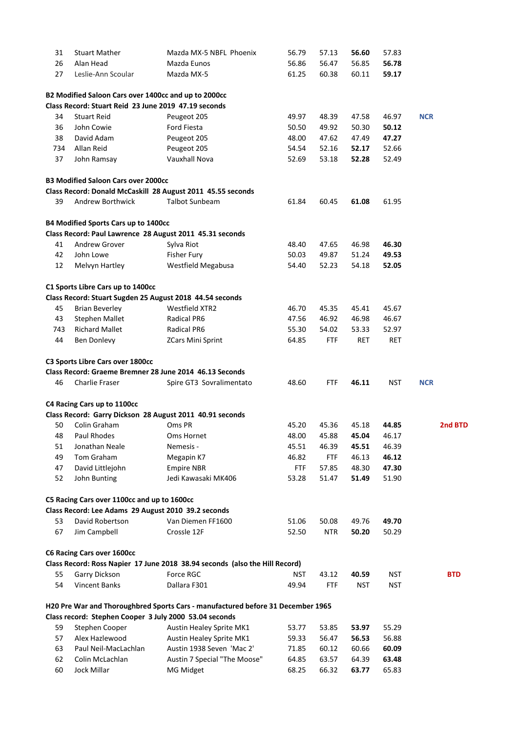| 31  | <b>Stuart Mather</b>                                   | Mazda MX-5 NBFL Phoenix                                                         | 56.79      | 57.13      | 56.60      | 57.83      |            |
|-----|--------------------------------------------------------|---------------------------------------------------------------------------------|------------|------------|------------|------------|------------|
| 26  | Alan Head                                              | Mazda Eunos                                                                     | 56.86      | 56.47      | 56.85      | 56.78      |            |
| 27  | Leslie-Ann Scoular                                     | Mazda MX-5                                                                      | 61.25      | 60.38      | 60.11      | 59.17      |            |
|     | B2 Modified Saloon Cars over 1400cc and up to 2000cc   |                                                                                 |            |            |            |            |            |
|     | Class Record: Stuart Reid 23 June 2019 47.19 seconds   |                                                                                 |            |            |            |            |            |
| 34  | <b>Stuart Reid</b>                                     | Peugeot 205                                                                     | 49.97      | 48.39      | 47.58      | 46.97      | <b>NCR</b> |
| 36  | John Cowie                                             | Ford Fiesta                                                                     | 50.50      | 49.92      | 50.30      | 50.12      |            |
| 38  | David Adam                                             | Peugeot 205                                                                     | 48.00      | 47.62      | 47.49      | 47.27      |            |
| 734 | Allan Reid                                             | Peugeot 205                                                                     | 54.54      | 52.16      | 52.17      | 52.66      |            |
| 37  | John Ramsay                                            | <b>Vauxhall Nova</b>                                                            | 52.69      | 53.18      | 52.28      | 52.49      |            |
|     | <b>B3 Modified Saloon Cars over 2000cc</b>             |                                                                                 |            |            |            |            |            |
|     |                                                        | Class Record: Donald McCaskill 28 August 2011 45.55 seconds                     |            |            |            |            |            |
| 39  | Andrew Borthwick                                       | <b>Talbot Sunbeam</b>                                                           | 61.84      | 60.45      | 61.08      | 61.95      |            |
|     | B4 Modified Sports Cars up to 1400cc                   |                                                                                 |            |            |            |            |            |
|     |                                                        | Class Record: Paul Lawrence 28 August 2011 45.31 seconds                        |            |            |            |            |            |
| 41  | Andrew Grover                                          | Sylva Riot                                                                      | 48.40      | 47.65      | 46.98      | 46.30      |            |
| 42  | John Lowe                                              | Fisher Fury                                                                     | 50.03      | 49.87      | 51.24      | 49.53      |            |
| 12  | Melvyn Hartley                                         | Westfield Megabusa                                                              | 54.40      | 52.23      | 54.18      | 52.05      |            |
|     | C1 Sports Libre Cars up to 1400cc                      |                                                                                 |            |            |            |            |            |
|     |                                                        | Class Record: Stuart Sugden 25 August 2018 44.54 seconds                        |            |            |            |            |            |
| 45  | <b>Brian Beverley</b>                                  | Westfield XTR2                                                                  | 46.70      | 45.35      | 45.41      | 45.67      |            |
| 43  | Stephen Mallet                                         | Radical PR6                                                                     | 47.56      | 46.92      | 46.98      | 46.67      |            |
| 743 | <b>Richard Mallet</b>                                  | <b>Radical PR6</b>                                                              | 55.30      | 54.02      | 53.33      | 52.97      |            |
| 44  | Ben Donlevy                                            | <b>ZCars Mini Sprint</b>                                                        | 64.85      | <b>FTF</b> | <b>RET</b> | <b>RET</b> |            |
|     | C3 Sports Libre Cars over 1800cc                       |                                                                                 |            |            |            |            |            |
|     |                                                        | Class Record: Graeme Bremner 28 June 2014 46.13 Seconds                         |            |            |            |            |            |
| 46  | Charlie Fraser                                         | Spire GT3 Sovralimentato                                                        | 48.60      | <b>FTF</b> | 46.11      | <b>NST</b> | <b>NCR</b> |
|     | C4 Racing Cars up to 1100cc                            |                                                                                 |            |            |            |            |            |
|     |                                                        | Class Record: Garry Dickson 28 August 2011 40.91 seconds                        |            |            |            |            |            |
| 50  | Colin Graham                                           | Oms PR                                                                          | 45.20      | 45.36      | 45.18      | 44.85      | 2nd BTD    |
| 48  | Paul Rhodes                                            | Oms Hornet                                                                      | 48.00      | 45.88      | 45.04      | 46.17      |            |
| 51  | Jonathan Neale                                         | Nemesis -                                                                       | 45.51      | 46.39      | 45.51      | 46.39      |            |
| 49  | Tom Graham                                             | Megapin K7                                                                      | 46.82      | <b>FTF</b> | 46.13      | 46.12      |            |
| 47  | David Littlejohn                                       | <b>Empire NBR</b>                                                               | <b>FTF</b> | 57.85      | 48.30      | 47.30      |            |
| 52  | John Bunting                                           | Jedi Kawasaki MK406                                                             | 53.28      | 51.47      | 51.49      | 51.90      |            |
|     | C5 Racing Cars over 1100cc and up to 1600cc            |                                                                                 |            |            |            |            |            |
|     | Class Record: Lee Adams 29 August 2010 39.2 seconds    |                                                                                 |            |            |            |            |            |
| 53  | David Robertson                                        | Van Diemen FF1600                                                               | 51.06      | 50.08      | 49.76      | 49.70      |            |
| 67  | Jim Campbell                                           | Crossle 12F                                                                     | 52.50      | <b>NTR</b> | 50.20      | 50.29      |            |
|     | <b>C6 Racing Cars over 1600cc</b>                      |                                                                                 |            |            |            |            |            |
|     |                                                        | Class Record: Ross Napier 17 June 2018 38.94 seconds (also the Hill Record)     |            |            |            |            |            |
| 55  | Garry Dickson                                          | Force RGC                                                                       | NST        | 43.12      | 40.59      | <b>NST</b> | <b>BTD</b> |
| 54  | <b>Vincent Banks</b>                                   | Dallara F301                                                                    | 49.94      | <b>FTF</b> | <b>NST</b> | <b>NST</b> |            |
|     |                                                        | H20 Pre War and Thoroughbred Sports Cars - manufactured before 31 December 1965 |            |            |            |            |            |
|     | Class record: Stephen Cooper 3 July 2000 53.04 seconds |                                                                                 |            |            |            |            |            |
| 59  | Stephen Cooper                                         | Austin Healey Sprite MK1                                                        | 53.77      | 53.85      | 53.97      | 55.29      |            |
| 57  | Alex Hazlewood                                         | Austin Healey Sprite MK1                                                        | 59.33      | 56.47      | 56.53      | 56.88      |            |
| 63  | Paul Neil-MacLachlan                                   | Austin 1938 Seven 'Mac 2'                                                       | 71.85      | 60.12      | 60.66      | 60.09      |            |
| 62  | Colin McLachlan                                        | Austin 7 Special "The Moose"                                                    | 64.85      | 63.57      | 64.39      | 63.48      |            |
| 60  | Jock Millar                                            | MG Midget                                                                       | 68.25      | 66.32      | 63.77      | 65.83      |            |